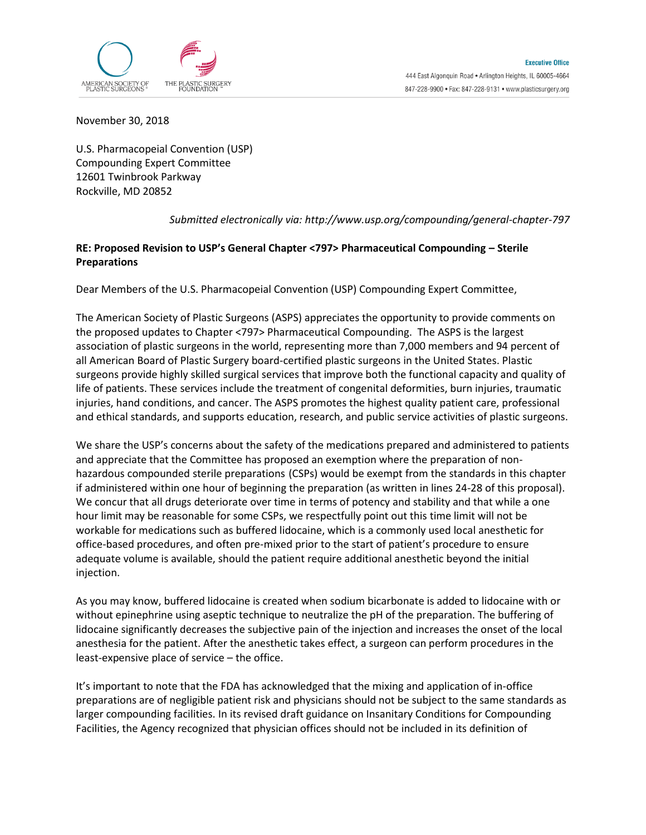

November 30, 2018

U.S. Pharmacopeial Convention (USP) Compounding Expert Committee 12601 Twinbrook Parkway Rockville, MD 20852

*Submitted electronically via: http://www.usp.org/compounding/general-chapter-797*

## **RE: Proposed Revision to USP's General Chapter <797> Pharmaceutical Compounding – Sterile Preparations**

Dear Members of the U.S. Pharmacopeial Convention (USP) Compounding Expert Committee,

The American Society of Plastic Surgeons (ASPS) appreciates the opportunity to provide comments on the proposed updates to Chapter <797> Pharmaceutical Compounding. The ASPS is the largest association of plastic surgeons in the world, representing more than 7,000 members and 94 percent of all American Board of Plastic Surgery board-certified plastic surgeons in the United States. Plastic surgeons provide highly skilled surgical services that improve both the functional capacity and quality of life of patients. These services include the treatment of congenital deformities, burn injuries, traumatic injuries, hand conditions, and cancer. The ASPS promotes the highest quality patient care, professional and ethical standards, and supports education, research, and public service activities of plastic surgeons.

We share the USP's concerns about the safety of the medications prepared and administered to patients and appreciate that the Committee has proposed an exemption where the preparation of nonhazardous compounded sterile preparations (CSPs) would be exempt from the standards in this chapter if administered within one hour of beginning the preparation (as written in lines 24-28 of this proposal). We concur that all drugs deteriorate over time in terms of potency and stability and that while a one hour limit may be reasonable for some CSPs, we respectfully point out this time limit will not be workable for medications such as buffered lidocaine, which is a commonly used local anesthetic for office-based procedures, and often pre-mixed prior to the start of patient's procedure to ensure adequate volume is available, should the patient require additional anesthetic beyond the initial injection.

As you may know, buffered lidocaine is created when sodium bicarbonate is added to lidocaine with or without epinephrine using aseptic technique to neutralize the pH of the preparation. The buffering of lidocaine significantly decreases the subjective pain of the injection and increases the onset of the local anesthesia for the patient. After the anesthetic takes effect, a surgeon can perform procedures in the least-expensive place of service – the office.

It's important to note that the FDA has acknowledged that the mixing and application of in-office preparations are of negligible patient risk and physicians should not be subject to the same standards as larger compounding facilities. In its revised draft guidance on Insanitary Conditions for Compounding Facilities, the Agency recognized that physician offices should not be included in its definition of